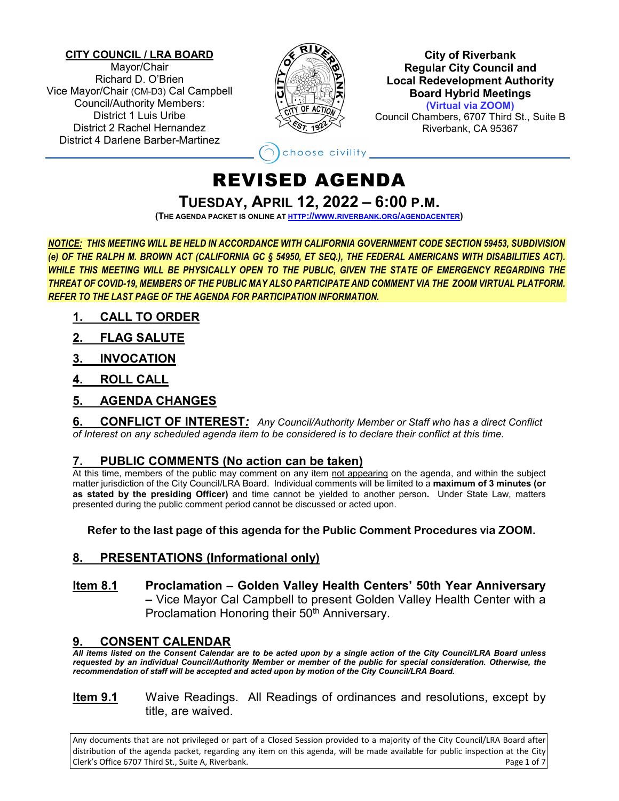#### **CITY COUNCIL / LRA BOARD**

Mayor/Chair Richard D. O'Brien Vice Mayor/Chair (CM-D3) Cal Campbell Council/Authority Members: District 1 Luis Uribe District 2 Rachel Hernandez District 4 Darlene Barber-Martinez



**City of Riverbank Regular City Council and Local Redevelopment Authority Board Hybrid Meetings (Virtual via ZOOM)**

Council Chambers, 6707 Third St., Suite B Riverbank, CA 95367

choose civility

# REVISED AGENDA

**TUESDAY, APRIL 12, 2022 – 6:00 P.M.**

**(THE AGENDA PACKET IS ONLINE A[T HTTP://WWW.RIVERBANK.ORG/AGENDACENTER\)](http://www.riverbank.org/agendacenter)**

*NOTICE: THIS MEETING WILL BE HELD IN ACCORDANCE WITH CALIFORNIA GOVERNMENT CODE SECTION 59453, SUBDIVISION (e) OF THE RALPH M. BROWN ACT (CALIFORNIA GC § 54950, ET SEQ.), THE FEDERAL AMERICANS WITH DISABILITIES ACT). WHILE THIS MEETING WILL BE PHYSICALLY OPEN TO THE PUBLIC, GIVEN THE STATE OF EMERGENCY REGARDING THE THREAT OF COVID-19, MEMBERS OF THE PUBLIC MAY ALSO PARTICIPATE AND COMMENT VIA THE ZOOM VIRTUAL PLATFORM. REFER TO THE LAST PAGE OF THE AGENDA FOR PARTICIPATION INFORMATION.*

- **1. CALL TO ORDER**
- **2. FLAG SALUTE**
- **3. INVOCATION**
- **4. ROLL CALL**
- **5. AGENDA CHANGES**

**6. CONFLICT OF INTEREST***: Any Council/Authority Member or Staff who has a direct Conflict of Interest on any scheduled agenda item to be considered is to declare their conflict at this time.*

# **7. PUBLIC COMMENTS (No action can be taken)**

At this time, members of the public may comment on any item not appearing on the agenda, and within the subject matter jurisdiction of the City Council/LRA Board. Individual comments will be limited to a **maximum of 3 minutes (or as stated by the presiding Officer)** and time cannot be yielded to another person**.** Under State Law, matters presented during the public comment period cannot be discussed or acted upon.

**Refer to the last page of this agenda for the Public Comment Procedures via ZOOM.**

# **8. PRESENTATIONS (Informational only)**

**Item 8.1 Proclamation – Golden Valley Health Centers' 50th Year Anniversary –** Vice Mayor Cal Campbell to present Golden Valley Health Center with a Proclamation Honoring their 50<sup>th</sup> Anniversary.

# **9. CONSENT CALENDAR**

*All items listed on the Consent Calendar are to be acted upon by a single action of the City Council/LRA Board unless requested by an individual Council/Authority Member or member of the public for special consideration. Otherwise, the recommendation of staff will be accepted and acted upon by motion of the City Council/LRA Board.*

**Item 9.1** Waive Readings. All Readings of ordinances and resolutions, except by title, are waived.

Any documents that are not privileged or part of a Closed Session provided to a majority of the City Council/LRA Board after distribution of the agenda packet, regarding any item on this agenda, will be made available for public inspection at the City Clerk's Office 6707 Third St., Suite A, Riverbank. Page 1 of 7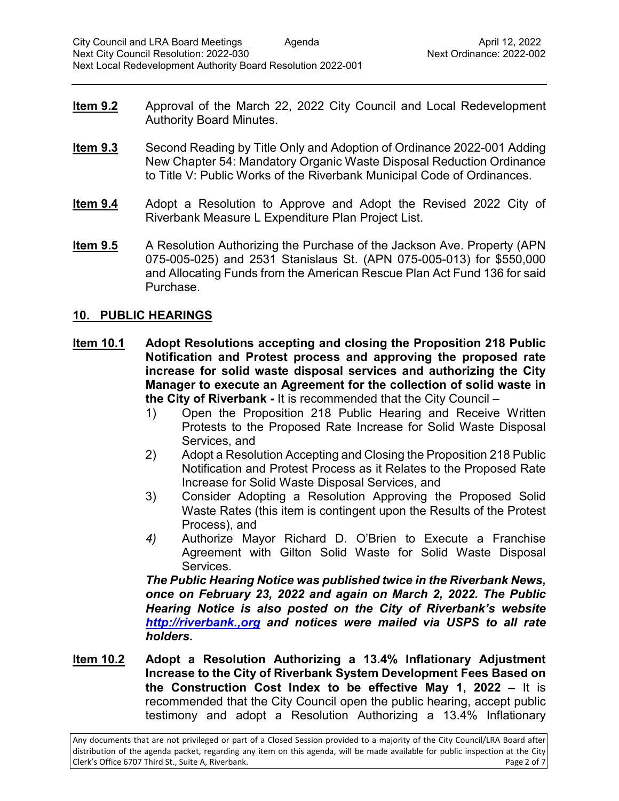- **Item 9.2** Approval of the March 22, 2022 City Council and Local Redevelopment Authority Board Minutes.
- **Item 9.3** Second Reading by Title Only and Adoption of Ordinance 2022-001 Adding New Chapter 54: Mandatory Organic Waste Disposal Reduction Ordinance to Title V: Public Works of the Riverbank Municipal Code of Ordinances.
- **Item 9.4** Adopt a Resolution to Approve and Adopt the Revised 2022 City of Riverbank Measure L Expenditure Plan Project List.
- **Item 9.5** A Resolution Authorizing the Purchase of the Jackson Ave. Property (APN 075-005-025) and 2531 Stanislaus St. (APN 075-005-013) for \$550,000 and Allocating Funds from the American Rescue Plan Act Fund 136 for said Purchase.

### **10. PUBLIC HEARINGS**

- **Item 10.1 Adopt Resolutions accepting and closing the Proposition 218 Public Notification and Protest process and approving the proposed rate increase for solid waste disposal services and authorizing the City Manager to execute an Agreement for the collection of solid waste in the City of Riverbank -** It is recommended that the City Council –
	- 1) Open the Proposition 218 Public Hearing and Receive Written Protests to the Proposed Rate Increase for Solid Waste Disposal Services, and
	- 2) Adopt a Resolution Accepting and Closing the Proposition 218 Public Notification and Protest Process as it Relates to the Proposed Rate Increase for Solid Waste Disposal Services, and
	- 3) Consider Adopting a Resolution Approving the Proposed Solid Waste Rates (this item is contingent upon the Results of the Protest Process), and
	- *4)* Authorize Mayor Richard D. O'Brien to Execute a Franchise Agreement with Gilton Solid Waste for Solid Waste Disposal Services.

*The Public Hearing Notice was published twice in the Riverbank News, once on February 23, 2022 and again on March 2, 2022. The Public Hearing Notice is also posted on the City of Riverbank's website [http://riverbank.,org](http://riverbank.,org/) and notices were mailed via USPS to all rate holders.*

**Item 10.2 Adopt a Resolution Authorizing a 13.4% Inflationary Adjustment Increase to the City of Riverbank System Development Fees Based on the Construction Cost Index to be effective May 1, 2022 –** It is recommended that the City Council open the public hearing, accept public testimony and adopt a Resolution Authorizing a 13.4% Inflationary

Any documents that are not privileged or part of a Closed Session provided to a majority of the City Council/LRA Board after distribution of the agenda packet, regarding any item on this agenda, will be made available for public inspection at the City Clerk's Office 6707 Third St., Suite A, Riverbank. Page 2 of 7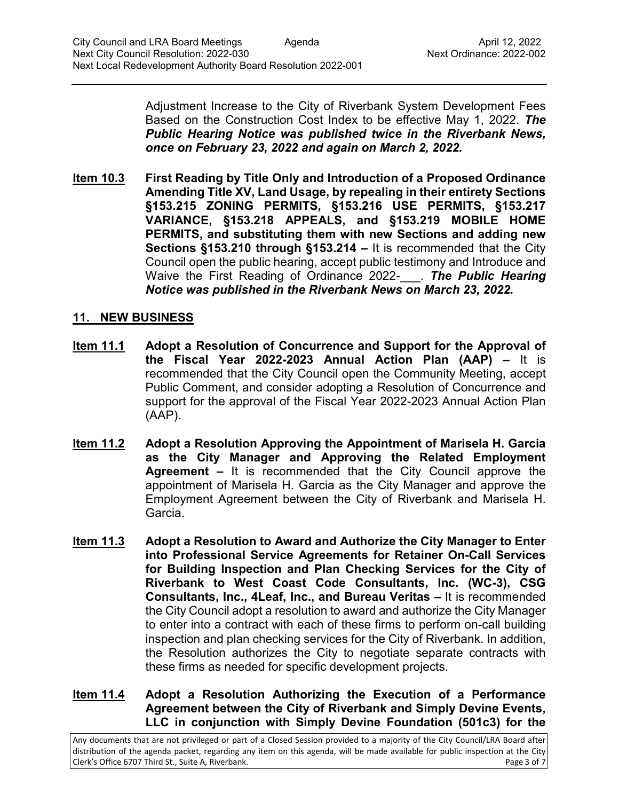Adjustment Increase to the City of Riverbank System Development Fees Based on the Construction Cost Index to be effective May 1, 2022. *The Public Hearing Notice was published twice in the Riverbank News, once on February 23, 2022 and again on March 2, 2022.* 

**Item 10.3 First Reading by Title Only and Introduction of a Proposed Ordinance Amending Title XV, Land Usage, by repealing in their entirety Sections §153.215 ZONING PERMITS, §153.216 USE PERMITS, §153.217 VARIANCE, §153.218 APPEALS, and §153.219 MOBILE HOME PERMITS, and substituting them with new Sections and adding new Sections §153.210 through §153.214 –** It is recommended that the City Council open the public hearing, accept public testimony and Introduce and Waive the First Reading of Ordinance 2022-\_\_\_. *The Public Hearing Notice was published in the Riverbank News on March 23, 2022.*

## **11. NEW BUSINESS**

- **Item 11.1 Adopt a Resolution of Concurrence and Support for the Approval of the Fiscal Year 2022-2023 Annual Action Plan (AAP) –** It is recommended that the City Council open the Community Meeting, accept Public Comment, and consider adopting a Resolution of Concurrence and support for the approval of the Fiscal Year 2022-2023 Annual Action Plan (AAP).
- **Item 11.2 Adopt a Resolution Approving the Appointment of Marisela H. Garcia as the City Manager and Approving the Related Employment Agreement –** It is recommended that the City Council approve the appointment of Marisela H. Garcia as the City Manager and approve the Employment Agreement between the City of Riverbank and Marisela H. Garcia.
- **Item 11.3 Adopt a Resolution to Award and Authorize the City Manager to Enter into Professional Service Agreements for Retainer On-Call Services for Building Inspection and Plan Checking Services for the City of Riverbank to West Coast Code Consultants, Inc. (WC-3), CSG Consultants, Inc., 4Leaf, Inc., and Bureau Veritas –** It is recommended the City Council adopt a resolution to award and authorize the City Manager to enter into a contract with each of these firms to perform on-call building inspection and plan checking services for the City of Riverbank. In addition, the Resolution authorizes the City to negotiate separate contracts with these firms as needed for specific development projects.

### **Item 11.4 Adopt a Resolution Authorizing the Execution of a Performance Agreement between the City of Riverbank and Simply Devine Events, LLC in conjunction with Simply Devine Foundation (501c3) for the**

Any documents that are not privileged or part of a Closed Session provided to a majority of the City Council/LRA Board after distribution of the agenda packet, regarding any item on this agenda, will be made available for public inspection at the City Clerk's Office 6707 Third St., Suite A, Riverbank. Page 3 of 7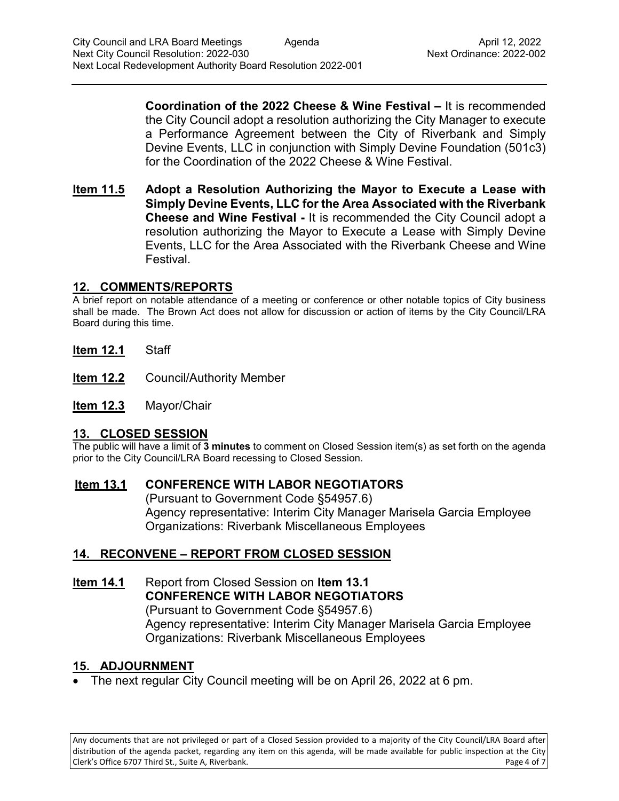**Coordination of the 2022 Cheese & Wine Festival –** It is recommended the City Council adopt a resolution authorizing the City Manager to execute a Performance Agreement between the City of Riverbank and Simply Devine Events, LLC in conjunction with Simply Devine Foundation (501c3) for the Coordination of the 2022 Cheese & Wine Festival.

**Item 11.5 Adopt a Resolution Authorizing the Mayor to Execute a Lease with Simply Devine Events, LLC for the Area Associated with the Riverbank Cheese and Wine Festival -** It is recommended the City Council adopt a resolution authorizing the Mayor to Execute a Lease with Simply Devine Events, LLC for the Area Associated with the Riverbank Cheese and Wine Festival.

### **12. COMMENTS/REPORTS**

A brief report on notable attendance of a meeting or conference or other notable topics of City business shall be made. The Brown Act does not allow for discussion or action of items by the City Council/LRA Board during this time.

- **Item 12.1** Staff
- **Item 12.2** Council/Authority Member
- **Item 12.3** Mayor/Chair

## **13. CLOSED SESSION**

The public will have a limit of **3 minutes** to comment on Closed Session item(s) as set forth on the agenda prior to the City Council/LRA Board recessing to Closed Session.

## **Item 13.1 CONFERENCE WITH LABOR NEGOTIATORS**

(Pursuant to Government Code §54957.6) Agency representative: Interim City Manager Marisela Garcia Employee Organizations: Riverbank Miscellaneous Employees

## **14. RECONVENE – REPORT FROM CLOSED SESSION**

**Item 14.1** Report from Closed Session on **Item 13.1 CONFERENCE WITH LABOR NEGOTIATORS** (Pursuant to Government Code §54957.6) Agency representative: Interim City Manager Marisela Garcia Employee Organizations: Riverbank Miscellaneous Employees

## **15. ADJOURNMENT**

• The next regular City Council meeting will be on April 26, 2022 at 6 pm.

Any documents that are not privileged or part of a Closed Session provided to a majority of the City Council/LRA Board after distribution of the agenda packet, regarding any item on this agenda, will be made available for public inspection at the City Clerk's Office 6707 Third St., Suite A, Riverbank. Page 4 of 7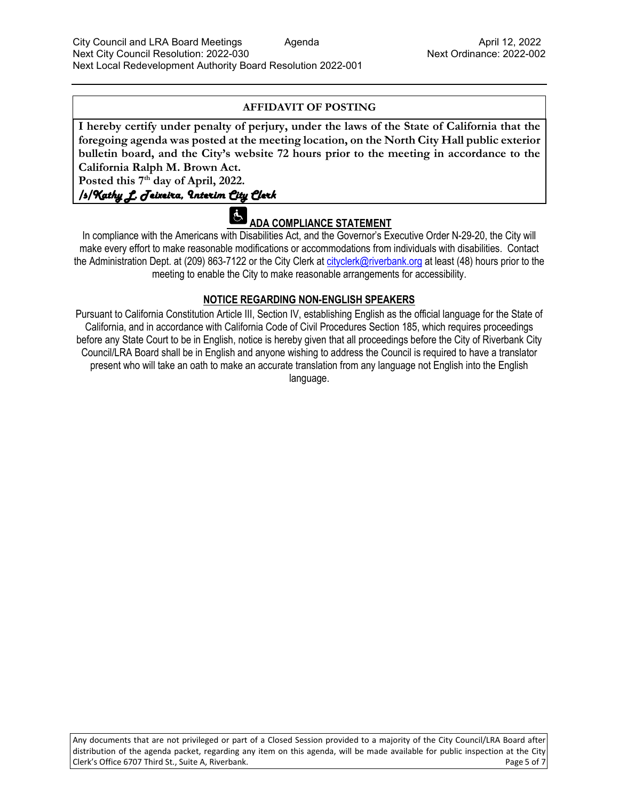#### **AFFIDAVIT OF POSTING**

**I hereby certify under penalty of perjury, under the laws of the State of California that the foregoing agenda was posted at the meeting location, on the North City Hall public exterior bulletin board, and the City's website 72 hours prior to the meeting in accordance to the California Ralph M. Brown Act.** 

**Posted this 7th day of April, 2022.**

#### /s/Kathy L. Teixeira, Interim City Clerk

# **ADA COMPLIANCE STATEMENT**

In compliance with the Americans with Disabilities Act, and the Governor's Executive Order N-29-20, the City will make every effort to make reasonable modifications or accommodations from individuals with disabilities. Contact the Administration Dept. at (209) 863-7122 or the City Clerk at [cityclerk@riverbank.org](mailto:cityclerk@riverbank.org) at least (48) hours prior to the meeting to enable the City to make reasonable arrangements for accessibility.

#### **NOTICE REGARDING NON-ENGLISH SPEAKERS**

Pursuant to California Constitution Article III, Section IV, establishing English as the official language for the State of California, and in accordance with California Code of Civil Procedures Section 185, which requires proceedings before any State Court to be in English, notice is hereby given that all proceedings before the City of Riverbank City Council/LRA Board shall be in English and anyone wishing to address the Council is required to have a translator present who will take an oath to make an accurate translation from any language not English into the English language.

Any documents that are not privileged or part of a Closed Session provided to a majority of the City Council/LRA Board after distribution of the agenda packet, regarding any item on this agenda, will be made available for public inspection at the City Clerk's Office 6707 Third St., Suite A, Riverbank. Page 5 of 7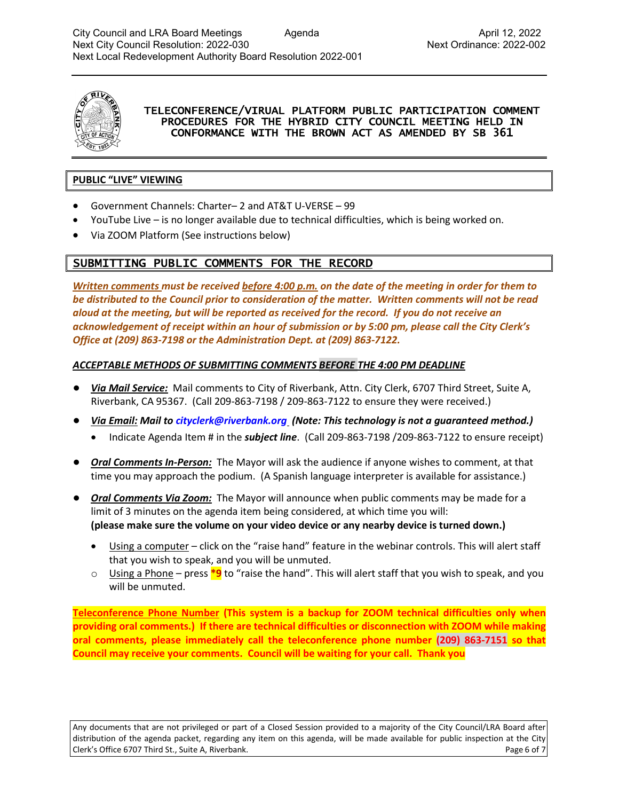

#### TELECONFERENCE/VIRUAL PLATFORM PUBLIC PARTICIPATION COMMENT PROCEDURES FOR THE HYBRID CITY COUNCIL MEETING HELD IN CONFORMANCE WITH THE BROWN ACT AS AMENDED BY SB 361

#### **PUBLIC "LIVE" VIEWING**

- Government Channels: Charter– 2 and AT&T U-VERSE 99
- YouTube Live is no longer available due to technical difficulties, which is being worked on.
- Via ZOOM Platform (See instructions below)

## SUBMITTING PUBLIC COMMENTS FOR THE RECORD

*Written comments must be received before 4:00 p.m. on the date of the meeting in order for them to be distributed to the Council prior to consideration of the matter. Written comments will not be read aloud at the meeting, but will be reported as received for the record. If you do not receive an acknowledgement of receipt within an hour of submission or by 5:00 pm, please call the City Clerk's Office at (209) 863-7198 or the Administration Dept. at (209) 863-7122.*

#### *ACCEPTABLE METHODS OF SUBMITTING COMMENTS BEFORE THE 4:00 PM DEADLINE*

- *Via Mail Service:* Mail comments to City of Riverbank, Attn. City Clerk, 6707 Third Street, Suite A, Riverbank, CA 95367. (Call 209-863-7198 / 209-863-7122 to ensure they were received.)
- *Via Email: Mail to [cityclerk@riverbank.org](mailto:cityclerk@riverbank.org) (Note: This technology is not a guaranteed method.)* 
	- Indicate Agenda Item # in the *subject line*. (Call 209-863-7198 /209-863-7122 to ensure receipt)
- *Oral Comments In-Person:* The Mayor will ask the audience if anyone wishes to comment, at that time you may approach the podium. (A Spanish language interpreter is available for assistance.)
- *Oral Comments Via Zoom:* The Mayor will announce when public comments may be made for a limit of 3 minutes on the agenda item being considered, at which time you will: **(please make sure the volume on your video device or any nearby device is turned down.)**
	- Using a computer click on the "raise hand" feature in the webinar controls. This will alert staff that you wish to speak, and you will be unmuted.
	- o Using a Phone press **\*9** to "raise the hand". This will alert staff that you wish to speak, and you will be unmuted.

**Teleconference Phone Number (This system is a backup for ZOOM technical difficulties only when providing oral comments.) If there are technical difficulties or disconnection with ZOOM while making oral comments, please immediately call the teleconference phone number (209) 863-7151 so that Council may receive your comments. Council will be waiting for your call. Thank you**

Any documents that are not privileged or part of a Closed Session provided to a majority of the City Council/LRA Board after distribution of the agenda packet, regarding any item on this agenda, will be made available for public inspection at the City Clerk's Office 6707 Third St., Suite A, Riverbank. Page 6 of 7